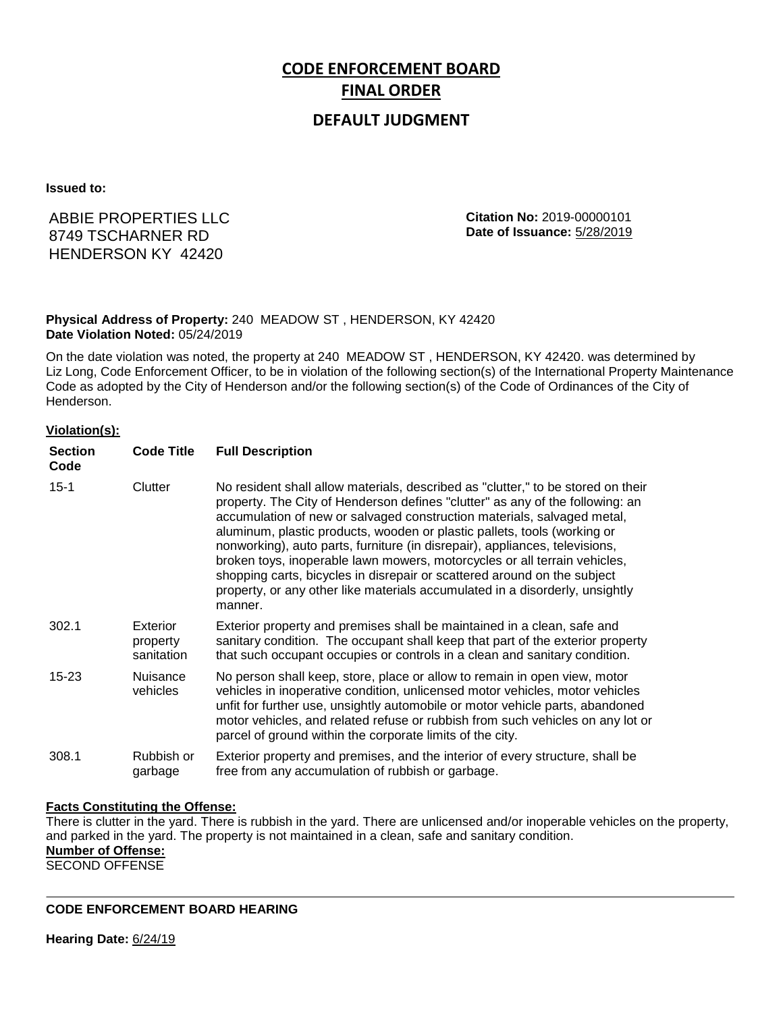# **CODE ENFORCEMENT BOARD FINAL ORDER**

# **DEFAULT JUDGMENT**

**Issued to:**

# ABBIE PROPERTIES LLC 8749 TSCHARNER RD HENDERSON KY 42420

**Citation No:** 2019-00000101 **Date of Issuance:** 5/28/2019

## **Physical Address of Property:** 240 MEADOW ST , HENDERSON, KY 42420 **Date Violation Noted:** 05/24/2019

On the date violation was noted, the property at 240 MEADOW ST , HENDERSON, KY 42420. was determined by Liz Long, Code Enforcement Officer, to be in violation of the following section(s) of the International Property Maintenance Code as adopted by the City of Henderson and/or the following section(s) of the Code of Ordinances of the City of Henderson.

### **Violation(s):**

| <b>Section</b><br>Code | <b>Code Title</b>                  | <b>Full Description</b>                                                                                                                                                                                                                                                                                                                                                                                                                                                                                                                                                                                                                                     |
|------------------------|------------------------------------|-------------------------------------------------------------------------------------------------------------------------------------------------------------------------------------------------------------------------------------------------------------------------------------------------------------------------------------------------------------------------------------------------------------------------------------------------------------------------------------------------------------------------------------------------------------------------------------------------------------------------------------------------------------|
| $15 - 1$               | Clutter                            | No resident shall allow materials, described as "clutter," to be stored on their<br>property. The City of Henderson defines "clutter" as any of the following: an<br>accumulation of new or salvaged construction materials, salvaged metal,<br>aluminum, plastic products, wooden or plastic pallets, tools (working or<br>nonworking), auto parts, furniture (in disrepair), appliances, televisions,<br>broken toys, inoperable lawn mowers, motorcycles or all terrain vehicles,<br>shopping carts, bicycles in disrepair or scattered around on the subject<br>property, or any other like materials accumulated in a disorderly, unsightly<br>manner. |
| 302.1                  | Exterior<br>property<br>sanitation | Exterior property and premises shall be maintained in a clean, safe and<br>sanitary condition. The occupant shall keep that part of the exterior property<br>that such occupant occupies or controls in a clean and sanitary condition.                                                                                                                                                                                                                                                                                                                                                                                                                     |
| $15 - 23$              | Nuisance<br>vehicles               | No person shall keep, store, place or allow to remain in open view, motor<br>vehicles in inoperative condition, unlicensed motor vehicles, motor vehicles<br>unfit for further use, unsightly automobile or motor vehicle parts, abandoned<br>motor vehicles, and related refuse or rubbish from such vehicles on any lot or<br>parcel of ground within the corporate limits of the city.                                                                                                                                                                                                                                                                   |
| 308.1                  | Rubbish or<br>garbage              | Exterior property and premises, and the interior of every structure, shall be<br>free from any accumulation of rubbish or garbage.                                                                                                                                                                                                                                                                                                                                                                                                                                                                                                                          |

### **Facts Constituting the Offense:**

There is clutter in the yard. There is rubbish in the yard. There are unlicensed and/or inoperable vehicles on the property, and parked in the yard. The property is not maintained in a clean, safe and sanitary condition. **Number of Offense:**

SECOND OFFENSE

**CODE ENFORCEMENT BOARD HEARING**

**Hearing Date:** 6/24/19